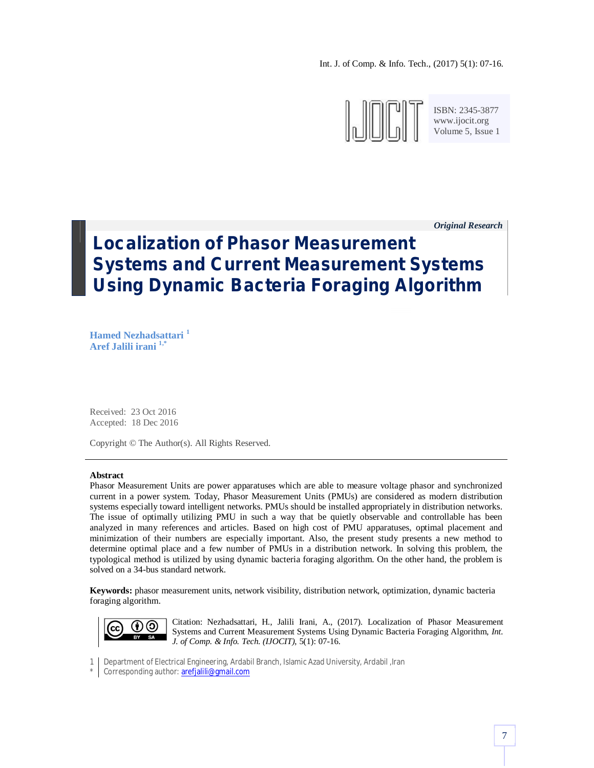Int. J. of Comp. & Info. Tech., (2017) 5(1): 07-16.



ISBN: 2345-3877 www.ijocit.org Volume 5, Issue 1

*Original Research \_*

# **Localization of Phasor Measurement Systems and Current Measurement Systems Using Dynamic Bacteria Foraging Algorithm**

**Hamed Nezhadsattari <sup>1</sup> Aref Jalili irani 1,\***

Received: 23 Oct 2016 Accepted: 18 Dec 2016

Copyright © The Author(s). All Rights Reserved.

#### **Abstract**

Phasor Measurement Units are power apparatuses which are able to measure voltage phasor and synchronized current in a power system. Today, Phasor Measurement Units (PMUs) are considered as modern distribution systems especially toward intelligent networks. PMUs should be installed appropriately in distribution networks. The issue of optimally utilizing PMU in such a way that be quietly observable and controllable has been analyzed in many references and articles. Based on high cost of PMU apparatuses, optimal placement and minimization of their numbers are especially important. Also, the present study presents a new method to determine optimal place and a few number of PMUs in a distribution network. In solving this problem, the typological method is utilized by using dynamic bacteria foraging algorithm. On the other hand, the problem is solved on a 34-bus standard network.

**Keywords:** phasor measurement units, network visibility, distribution network, optimization, dynamic bacteria foraging algorithm.



Citation: Nezhadsattari, H., Jalili Irani, A., (2017). Localization of Phasor Measurement Systems and Current Measurement Systems Using Dynamic Bacteria Foraging Algorithm, *Int. J. of Comp. & Info. Tech. (IJOCIT)*, 5(1): 07-16.

1 Department of Electrical Engineering, Ardabil Branch, Islamic Azad University, Ardabil ,Iran

\* Corresponding author: arefjalili@gmail.com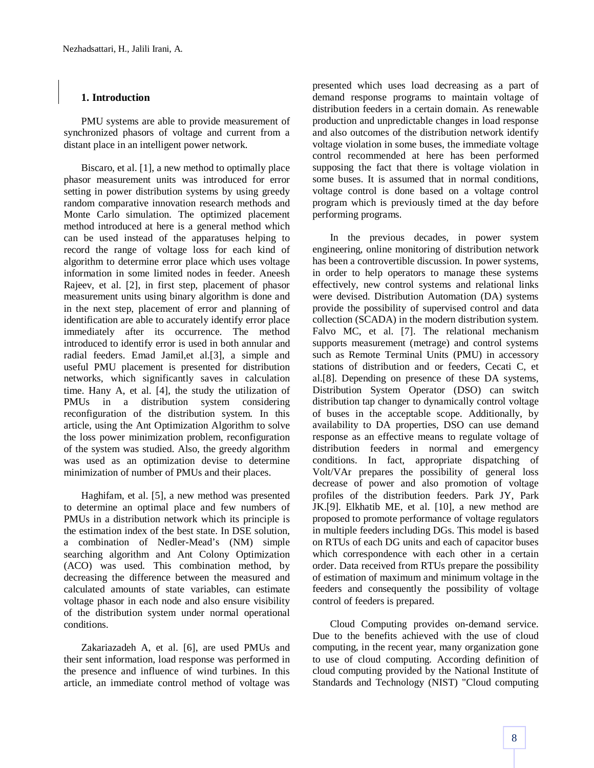# **1. Introduction**

PMU systems are able to provide measurement of synchronized phasors of voltage and current from a distant place in an intelligent power network.

Biscaro, et al. [1], a new method to optimally place phasor measurement units was introduced for error setting in power distribution systems by using greedy random comparative innovation research methods and Monte Carlo simulation. The optimized placement method introduced at here is a general method which can be used instead of the apparatuses helping to record the range of voltage loss for each kind of algorithm to determine error place which uses voltage information in some limited nodes in feeder. Aneesh Rajeev, et al. [2], in first step, placement of phasor measurement units using binary algorithm is done and in the next step, placement of error and planning of identification are able to accurately identify error place immediately after its occurrence. The method introduced to identify error is used in both annular and radial feeders. Emad Jamil,et al.[3], a simple and useful PMU placement is presented for distribution networks, which significantly saves in calculation time. Hany A, et al. [4], the study the utilization of PMUs in a distribution system considering reconfiguration of the distribution system. In this article, using the Ant Optimization Algorithm to solve the loss power minimization problem, reconfiguration of the system was studied. Also, the greedy algorithm was used as an optimization devise to determine minimization of number of PMUs and their places.

Haghifam, et al. [5], a new method was presented to determine an optimal place and few numbers of PMUs in a distribution network which its principle is the estimation index of the best state. In DSE solution, a combination of Nedler-Mead's (NM) simple searching algorithm and Ant Colony Optimization (ACO) was used. This combination method, by decreasing the difference between the measured and calculated amounts of state variables, can estimate voltage phasor in each node and also ensure visibility of the distribution system under normal operational conditions.

Zakariazadeh A, et al. [6], are used PMUs and their sent information, load response was performed in the presence and influence of wind turbines. In this article, an immediate control method of voltage was

presented which uses load decreasing as a part of demand response programs to maintain voltage of distribution feeders in a certain domain. As renewable production and unpredictable changes in load response and also outcomes of the distribution network identify voltage violation in some buses, the immediate voltage control recommended at here has been performed supposing the fact that there is voltage violation in some buses. It is assumed that in normal conditions, voltage control is done based on a voltage control program which is previously timed at the day before performing programs.

In the previous decades, in power system engineering, online monitoring of distribution network has been a controvertible discussion. In power systems, in order to help operators to manage these systems effectively, new control systems and relational links were devised. Distribution Automation (DA) systems provide the possibility of supervised control and data collection (SCADA) in the modern distribution system. Falvo MC, et al. [7]. The relational mechanism supports measurement (metrage) and control systems such as Remote Terminal Units (PMU) in accessory stations of distribution and or feeders, Cecati C, et al.[8]. Depending on presence of these DA systems, Distribution System Operator (DSO) can switch distribution tap changer to dynamically control voltage of buses in the acceptable scope. Additionally, by availability to DA properties, DSO can use demand response as an effective means to regulate voltage of distribution feeders in normal and emergency conditions. In fact, appropriate dispatching of Volt/VAr prepares the possibility of general loss decrease of power and also promotion of voltage profiles of the distribution feeders. Park JY, Park JK.[9]. Elkhatib ME, et al. [10], a new method are proposed to promote performance of voltage regulators in multiple feeders including DGs. This model is based on RTUs of each DG units and each of capacitor buses which correspondence with each other in a certain order. Data received from RTUs prepare the possibility of estimation of maximum and minimum voltage in the feeders and consequently the possibility of voltage control of feeders is prepared.

Cloud Computing provides on-demand service. Due to the benefits achieved with the use of cloud computing, in the recent year, many organization gone to use of cloud computing. According definition of cloud computing provided by the National Institute of Standards and Technology (NIST) "Cloud computing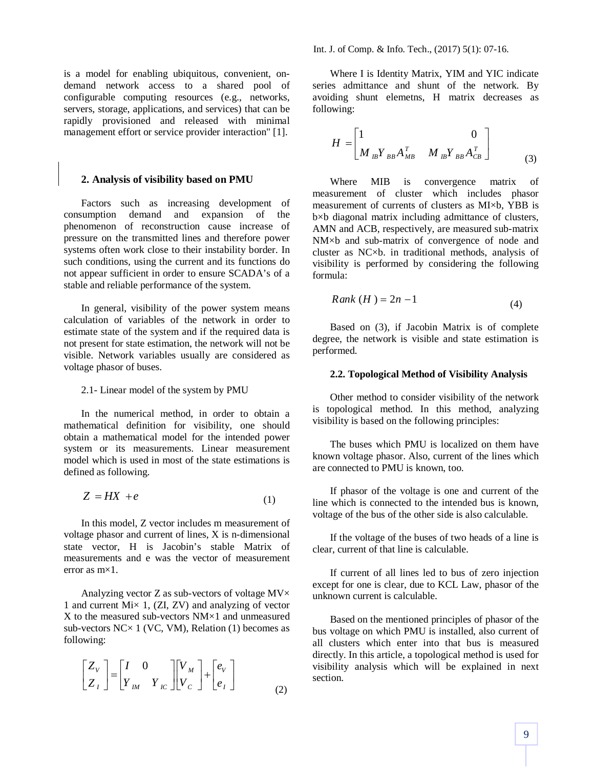is a model for enabling ubiquitous, convenient, ondemand network access to a shared pool of configurable computing resources (e.g., networks, servers, storage, applications, and services) that can be rapidly provisioned and released with minimal management effort or service provider interaction" [1].

#### **2. Analysis of visibility based on PMU**

Factors such as increasing development of consumption demand and expansion of the phenomenon of reconstruction cause increase of pressure on the transmitted lines and therefore power systems often work close to their instability border. In such conditions, using the current and its functions do not appear sufficient in order to ensure SCADA's of a stable and reliable performance of the system.

In general, visibility of the power system means calculation of variables of the network in order to estimate state of the system and if the required data is not present for state estimation, the network will not be visible. Network variables usually are considered as voltage phasor of buses.

#### 2.1- Linear model of the system by PMU

In the numerical method, in order to obtain a mathematical definition for visibility, one should obtain a mathematical model for the intended power system or its measurements. Linear measurement model which is used in most of the state estimations is defined as following.

$$
Z = HX + e \tag{1}
$$

In this model, Z vector includes m measurement of voltage phasor and current of lines, X is n-dimensional state vector, H is Jacobin's stable Matrix of measurements and e was the vector of measurement error as  $mx1$ .

Analyzing vector  $Z$  as sub-vectors of voltage  $MV \times$ 1 and current Mi× 1, (ZI, ZV) and analyzing of vector X to the measured sub-vectors  $NM \times 1$  and unmeasured sub-vectors  $NC \times 1$  (VC, VM), Relation (1) becomes as following:

$$
\begin{bmatrix} Z_V \\ Z_I \end{bmatrix} = \begin{bmatrix} I & 0 \\ Y_{IM} & Y_{IC} \end{bmatrix} \begin{bmatrix} V_M \\ V_C \end{bmatrix} + \begin{bmatrix} e_V \\ e_I \end{bmatrix}
$$
 (2)

Where I is Identity Matrix, YIM and YIC indicate series admittance and shunt of the network. By avoiding shunt elemetns, H matrix decreases as following:

$$
H = \begin{bmatrix} 1 & 0 \\ M_{IB}Y_{BB}A_{MB}^T & M_{IB}Y_{BB}A_{CB}^T \end{bmatrix}
$$
 (3)

Where MIB is convergence matrix of measurement of cluster which includes phasor measurement of currents of clusters as MI×b, YBB is b×b diagonal matrix including admittance of clusters, AMN and ACB, respectively, are measured sub-matrix NM×b and sub-matrix of convergence of node and cluster as NC×b. in traditional methods, analysis of visibility is performed by considering the following formula:

$$
Rank(H) = 2n - 1 \tag{4}
$$

Based on (3), if Jacobin Matrix is of complete degree, the network is visible and state estimation is performed.

#### **2.2. Topological Method of Visibility Analysis**

Other method to consider visibility of the network is topological method. In this method, analyzing visibility is based on the following principles:

The buses which PMU is localized on them have known voltage phasor. Also, current of the lines which are connected to PMU is known, too.

If phasor of the voltage is one and current of the line which is connected to the intended bus is known, voltage of the bus of the other side is also calculable.

If the voltage of the buses of two heads of a line is clear, current of that line is calculable.

If current of all lines led to bus of zero injection except for one is clear, due to KCL Law, phasor of the unknown current is calculable.

Based on the mentioned principles of phasor of the bus voltage on which PMU is installed, also current of all clusters which enter into that bus is measured directly. In this article, a topological method is used for visibility analysis which will be explained in next section.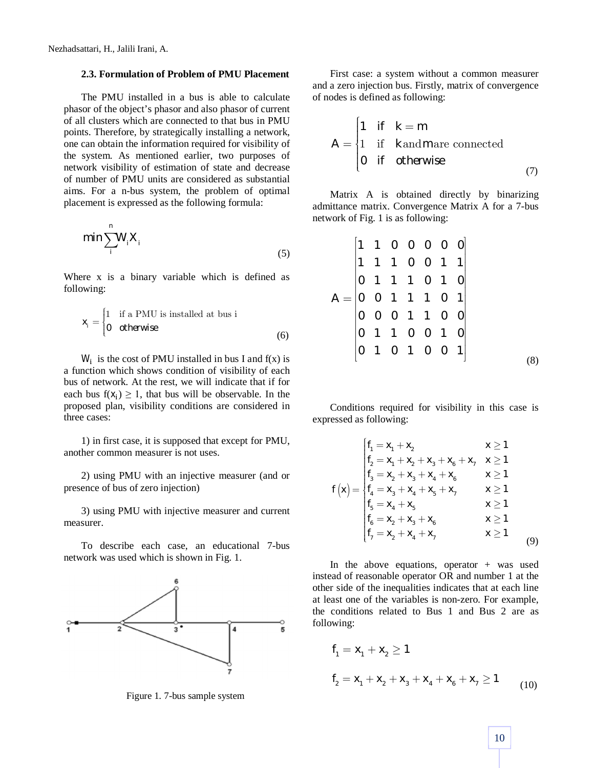### **2.3. Formulation of Problem of PMU Placement**

The PMU installed in a bus is able to calculate phasor of the object's phasor and also phasor of current of all clusters which are connected to that bus in PMU points. Therefore, by strategically installing a network, one can obtain the information required for visibility of the system. As mentioned earlier, two purposes of network visibility of estimation of state and decrease of number of PMU units are considered as substantial aims. For a n-bus system, the problem of optimal placement is expressed as the following formula:

$$
\min \sum_{i}^{n} W_{i} X_{i}
$$
 (5)

Where x is a binary variable which is defined as following:

$$
x_i = \begin{cases} 1 & \text{if a PMU is installed at bus i} \\ 0 & \text{otherwise} \end{cases}
$$
 (6)

 $W_i$  is the cost of PMU installed in bus I and  $f(x)$  is a function which shows condition of visibility of each bus of network. At the rest, we will indicate that if for each bus  $f(x_i) \ge 1$ , that bus will be observable. In the proposed plan, visibility conditions are considered in three cases:

1) in first case, it is supposed that except for PMU, another common measurer is not uses.

2) using PMU with an injective measurer (and or presence of bus of zero injection)

3) using PMU with injective measurer and current measurer.

To describe each case, an educational 7-bus network was used which is shown in Fig. 1.



Figure 1. 7-bus sample system

First case: a system without a common measurer and a zero injection bus. Firstly, matrix of convergence of nodes is defined as following:

$$
A = \begin{cases} 1 & \text{if } k = m \\ 1 & \text{if } k \text{ and } m \text{ are connected} \\ 0 & \text{if } \text{otherwise} \end{cases}
$$
 (7)

Matrix A is obtained directly by binarizing admittance matrix. Convergence Matrix A for a 7-bus network of Fig. 1 is as following:

|  | $\begin{bmatrix} 1 & 1 & 0 & 0 & 0 & 0 & 0 \\ 1 & 1 & 1 & 0 & 0 & 1 & 1 \\ 0 & 1 & 1 & 1 & 0 & 1 & 0 \\ 0 & 0 & 1 & 1 & 1 & 0 & 1 \\ 0 & 0 & 0 & 1 & 1 & 0 & 0 \\ 0 & 1 & 1 & 0 & 0 & 1 & 0 \\ \end{bmatrix}$ |  |  |  |
|--|---------------------------------------------------------------------------------------------------------------------------------------------------------------------------------------------------------------|--|--|--|
|  |                                                                                                                                                                                                               |  |  |  |
|  |                                                                                                                                                                                                               |  |  |  |
|  | $\begin{vmatrix} 0 & 1 & 0 & 1 & 0 & 0 & 1 \end{vmatrix}$                                                                                                                                                     |  |  |  |
|  |                                                                                                                                                                                                               |  |  |  |

Conditions required for visibility in this case is expressed as following:

$$
f_{1} = x_{1} + x_{2} \qquad x \ge 1
$$
\n
$$
f_{2} = x_{1} + x_{2} + x_{3} + x_{6} + x_{7} \qquad x \ge 1
$$
\n
$$
f_{3} = x_{2} + x_{3} + x_{4} + x_{6} \qquad x \ge 1
$$
\n
$$
f_{4} = x_{3} + x_{4} + x_{5} + x_{7} \qquad x \ge 1
$$
\n
$$
f_{5} = x_{4} + x_{5} \qquad x \ge 1
$$
\n
$$
f_{6} = x_{2} + x_{3} + x_{6} \qquad x \ge 1
$$
\n
$$
f_{7} = x_{2} + x_{4} + x_{7} \qquad x \ge 1
$$
\n(9)

In the above equations, operator  $+$  was used instead of reasonable operator OR and number 1 at the other side of the inequalities indicates that at each line at least one of the variables is non-zero. For example, the conditions related to Bus 1 and Bus 2 are as following:

$$
f_1 = x_1 + x_2 \ge 1
$$
  

$$
f_2 = x_1 + x_2 + x_3 + x_4 + x_6 + x_7 \ge 1
$$
 (10)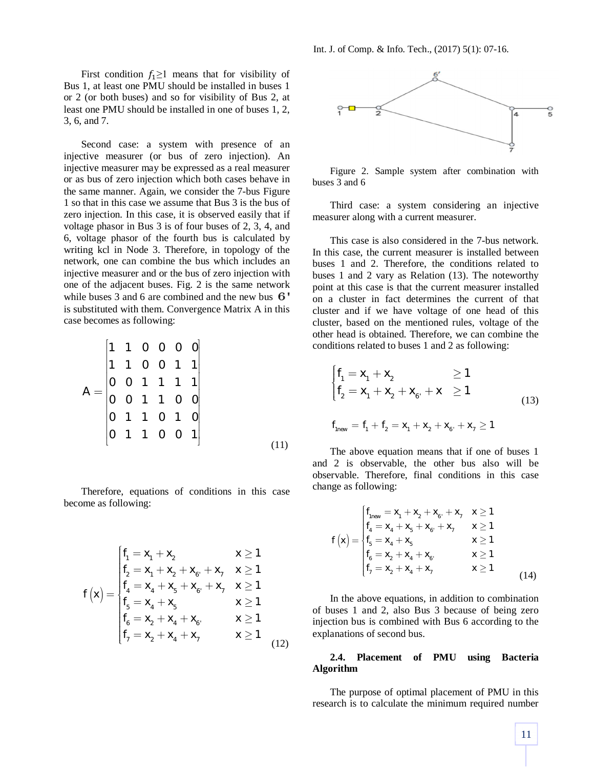First condition  $f_1 \geq 1$  means that for visibility of Bus 1, at least one PMU should be installed in buses 1 or 2 (or both buses) and so for visibility of Bus 2, at least one PMU should be installed in one of buses 1, 2, 3, 6, and 7.

Second case: a system with presence of an injective measurer (or bus of zero injection). An injective measurer may be expressed as a real measurer or as bus of zero injection which both cases behave in the same manner. Again, we consider the 7-bus Figure 1 so that in this case we assume that Bus 3 is the bus of zero injection. In this case, it is observed easily that if voltage phasor in Bus 3 is of four buses of 2, 3, 4, and 6, voltage phasor of the fourth bus is calculated by writing kcl in Node 3. Therefore, in topology of the network, one can combine the bus which includes an injective measurer and or the bus of zero injection with one of the adjacent buses. Fig. 2 is the same network while buses 3 and 6 are combined and the new bus  $6'$ is substituted with them. Convergence Matrix A in this case becomes as following:

$$
A = \begin{bmatrix} 1 & 1 & 0 & 0 & 0 & 0 \\ 1 & 1 & 0 & 0 & 1 & 1 \\ 0 & 0 & 1 & 1 & 1 & 1 \\ 0 & 0 & 1 & 1 & 0 & 0 \\ 0 & 1 & 1 & 0 & 1 & 0 \\ 0 & 1 & 1 & 0 & 0 & 1 \end{bmatrix}
$$
(11)

Therefore, equations of conditions in this case become as following:

$$
f(x) = \begin{cases} f_1 = x_1 + x_2 & x \ge 1 \\ f_2 = x_1 + x_2 + x_6 + x_7 & x \ge 1 \\ f_4 = x_4 + x_5 + x_6 + x_7 & x \ge 1 \\ f_5 = x_4 + x_5 & x \ge 1 \\ f_6 = x_2 + x_4 + x_6 & x \ge 1 \\ f_7 = x_2 + x_4 + x_7 & x \ge 1 \end{cases}
$$
(12)



Figure 2. Sample system after combination with buses 3 and 6

Third case: a system considering an injective measurer along with a current measurer.

This case is also considered in the 7-bus network. In this case, the current measurer is installed between buses 1 and 2. Therefore, the conditions related to buses 1 and 2 vary as Relation (13). The noteworthy point at this case is that the current measurer installed on a cluster in fact determines the current of that cluster and if we have voltage of one head of this cluster, based on the mentioned rules, voltage of the other head is obtained. Therefore, we can combine the conditions related to buses 1 and 2 as following:

$$
\begin{cases}\nf_1 = x_1 + x_2 & \ge 1 \\
f_2 = x_1 + x_2 + x_6 + x & \ge 1\n\end{cases}
$$
\n(13)

$$
f_{1new} = f_1 + f_2 = x_1 + x_2 + x_6 + x_7 \ge 1
$$

The above equation means that if one of buses 1 and 2 is observable, the other bus also will be observable. Therefore, final conditions in this case change as following:

$$
f(x) = \begin{cases} f_{1new} = x_1 + x_2 + x_6 + x_7 & x \ge 1 \\ f_4 = x_4 + x_5 + x_6 + x_7 & x \ge 1 \\ f_5 = x_4 + x_5 & x \ge 1 \\ f_6 = x_2 + x_4 + x_6 & x \ge 1 \\ f_7 = x_2 + x_4 + x_7 & x \ge 1 \end{cases}
$$
(14)

In the above equations, in addition to combination of buses 1 and 2, also Bus 3 because of being zero injection bus is combined with Bus 6 according to the explanations of second bus.

#### **2.4. Placement of PMU using Bacteria Algorithm**

The purpose of optimal placement of PMU in this research is to calculate the minimum required number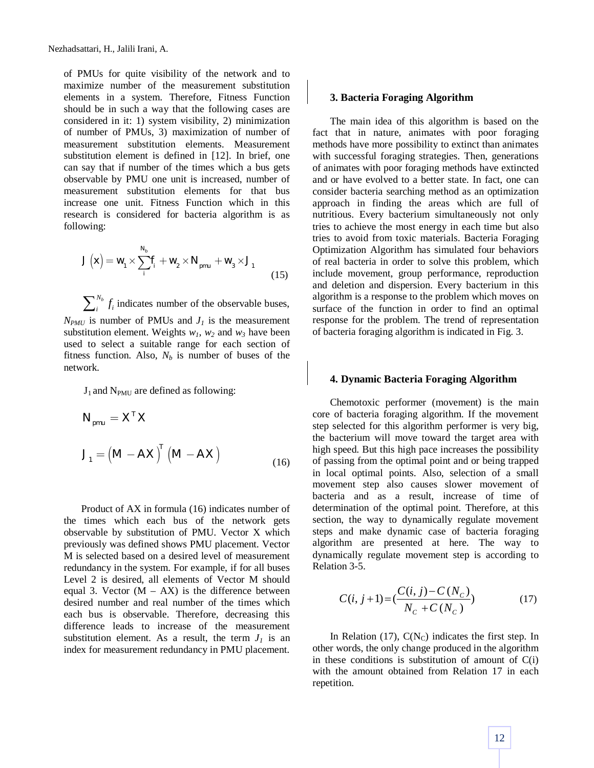of PMUs for quite visibility of the network and to maximize number of the measurement substitution elements in a system. Therefore, Fitness Function should be in such a way that the following cases are considered in it: 1) system visibility, 2) minimization of number of PMUs, 3) maximization of number of measurement substitution elements. Measurement substitution element is defined in [12]. In brief, one can say that if number of the times which a bus gets observable by PMU one unit is increased, number of measurement substitution elements for that bus increase one unit. Fitness Function which in this research is considered for bacteria algorithm is as following:

$$
J(x) = w_1 \times \sum_{i}^{N_b} f_i + w_2 \times N_{pmu} + w_3 \times J_1
$$
\n(15)

*Nb*  $\sum_{i}^{N_b} f_i$  indicates number of the observable buses,  $N_{PMU}$  is number of PMUs and  $J<sub>I</sub>$  is the measurement substitution element. Weights  $w_1$ ,  $w_2$  and  $w_3$  have been used to select a suitable range for each section of fitness function. Also,  $N_b$  is number of buses of the network.

 $J_1$  and N<sub>PMU</sub> are defined as following:

$$
N_{pmu} = X^{T} X
$$
  

$$
J_{1} = (M - AX)^{T} (M - AX)
$$
 (16)

Product of AX in formula (16) indicates number of the times which each bus of the network gets observable by substitution of PMU. Vector X which previously was defined shows PMU placement. Vector M is selected based on a desired level of measurement redundancy in the system. For example, if for all buses Level 2 is desired, all elements of Vector M should equal 3. Vector  $(M - AX)$  is the difference between desired number and real number of the times which each bus is observable. Therefore, decreasing this difference leads to increase of the measurement substitution element. As a result, the term  $J_1$  is an index for measurement redundancy in PMU placement.

#### **3. Bacteria Foraging Algorithm**

The main idea of this algorithm is based on the fact that in nature, animates with poor foraging methods have more possibility to extinct than animates with successful foraging strategies. Then, generations of animates with poor foraging methods have extincted and or have evolved to a better state. In fact, one can consider bacteria searching method as an optimization approach in finding the areas which are full of nutritious. Every bacterium simultaneously not only tries to achieve the most energy in each time but also tries to avoid from toxic materials. Bacteria Foraging Optimization Algorithm has simulated four behaviors of real bacteria in order to solve this problem, which include movement, group performance, reproduction and deletion and dispersion. Every bacterium in this algorithm is a response to the problem which moves on surface of the function in order to find an optimal response for the problem. The trend of representation of bacteria foraging algorithm is indicated in Fig. 3.

#### **4. Dynamic Bacteria Foraging Algorithm**

Chemotoxic performer (movement) is the main core of bacteria foraging algorithm. If the movement step selected for this algorithm performer is very big, the bacterium will move toward the target area with high speed. But this high pace increases the possibility of passing from the optimal point and or being trapped in local optimal points. Also, selection of a small movement step also causes slower movement of bacteria and as a result, increase of time of determination of the optimal point. Therefore, at this section, the way to dynamically regulate movement steps and make dynamic case of bacteria foraging algorithm are presented at here. The way to dynamically regulate movement step is according to Relation 3-5.

$$
C(i, j+1) = \left(\frac{C(i, j) - C(N_C)}{N_C + C(N_C)}\right)
$$
\n(17)

In Relation (17),  $C(N_C)$  indicates the first step. In other words, the only change produced in the algorithm in these conditions is substitution of amount of  $C(i)$ with the amount obtained from Relation 17 in each repetition.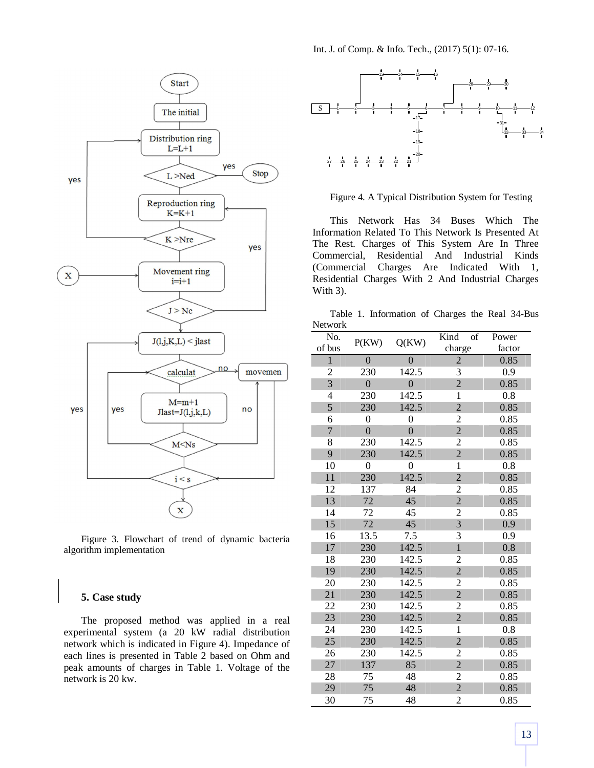

Figure 3. Flowchart of trend of dynamic bacteria algorithm implementation

## **5. Case study**

The proposed method was applied in a real experimental system (a 20 kW radial distribution network which is indicated in Figure 4). Impedance of each lines is presented in Table 2 based on Ohm and peak amounts of charges in Table 1. Voltage of the network is 20 kw.

Int. J. of Comp. & Info. Tech., (2017) 5(1): 07-16.



Figure 4. A Typical Distribution System for Testing

This Network Has 34 Buses Which The Information Related To This Network Is Presented At The Rest. Charges of This System Are In Three Commercial, Residential And Industrial Kinds (Commercial Charges Are Indicated With 1, Residential Charges With 2 And Industrial Charges With 3).

Table 1. Information of Charges the Real 34-Bus Network

| No.            | P(KW)            | Q(KW)            | Kind<br>of     | Power  |
|----------------|------------------|------------------|----------------|--------|
| of bus         |                  |                  | charge         | factor |
| $\mathbf{1}$   | $\overline{0}$   | $\overline{0}$   | $\overline{2}$ | 0.85   |
| $\overline{c}$ | 230              | 142.5            | 3              | 0.9    |
| $\overline{3}$ | $\overline{0}$   | $\overline{0}$   | $\overline{2}$ | 0.85   |
| $\overline{4}$ | 230              | 142.5            | $\mathbf 1$    | 0.8    |
| 5              | 230              | 142.5            | $\overline{c}$ | 0.85   |
| 6              | $\overline{0}$   | $\overline{0}$   | $\overline{c}$ | 0.85   |
| $\overline{7}$ | $\overline{0}$   | $\overline{0}$   | $\overline{2}$ | 0.85   |
| 8              | 230              | 142.5            | $\overline{c}$ | 0.85   |
| 9              | 230              | 142.5            | $\overline{c}$ | 0.85   |
| 10             | $\boldsymbol{0}$ | $\boldsymbol{0}$ | $\mathbf{1}$   | 0.8    |
| 11             | 230              | 142.5            | $\overline{c}$ | 0.85   |
| 12             | 137              | 84               | $\overline{c}$ | 0.85   |
| 13             | 72               | 45               | $\overline{c}$ | 0.85   |
| 14             | 72               | 45               | $\overline{c}$ | 0.85   |
| 15             | 72               | 45               | $\overline{3}$ | 0.9    |
| 16             | 13.5             | $7.5\,$          | 3              | 0.9    |
| 17             | 230              | 142.5            | $\overline{1}$ | 0.8    |
| 18             | 230              | 142.5            | $\overline{2}$ | 0.85   |
| 19             | 230              | 142.5            | $\overline{c}$ | 0.85   |
| 20             | 230              | 142.5            | $\overline{c}$ | 0.85   |
| 21             | 230              | 142.5            | $\overline{c}$ | 0.85   |
| 22             | 230              | 142.5            | $\overline{c}$ | 0.85   |
| 23             | 230              | 142.5            | $\overline{2}$ | 0.85   |
| 24             | 230              | 142.5            | $\mathbf{1}$   | 0.8    |
| 25             | 230              | 142.5            | $\overline{2}$ | 0.85   |
| 26             | 230              | 142.5            | $\overline{c}$ | 0.85   |
| 27             | 137              | 85               | $\overline{2}$ | 0.85   |
| 28             | 75               | 48               | $\overline{c}$ | 0.85   |
| 29             | 75               | 48               | $\overline{c}$ | 0.85   |
| 30             | 75               | 48               | $\overline{c}$ | 0.85   |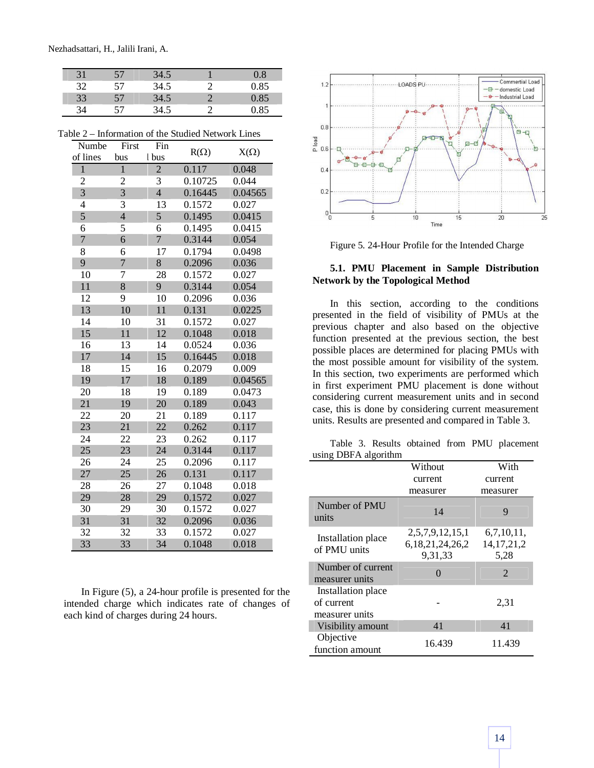Nezhadsattari, H., Jalili Irani, A.

| 31 | 57 | 34.5 | 0.8  |
|----|----|------|------|
| 32 | 57 | 34.5 | 0.85 |
| 33 | 57 | 34.5 | 0.85 |
| 34 | 57 | 34.5 | 0.85 |

| ، ۱۳<br>Numbe  | First          | Fin            | mormanon or the budged rection <b>R</b> |             |
|----------------|----------------|----------------|-----------------------------------------|-------------|
| of lines       | bus            | l bus          | $R(\Omega)$                             | $X(\Omega)$ |
| $\mathbf{1}$   | $\mathbf{1}$   | $\overline{2}$ | 0.117                                   | 0.048       |
| 2              | 2              | 3              | 0.10725                                 | 0.044       |
| $\overline{3}$ | $\overline{3}$ | $\overline{4}$ | 0.16445                                 | 0.04565     |
| $\overline{4}$ | 3              | 13             | 0.1572                                  | 0.027       |
| 5              | $\overline{4}$ | 5              | 0.1495                                  | 0.0415      |
| 6              | 5              | 6              | 0.1495                                  | 0.0415      |
| $\overline{7}$ | 6              | $\overline{7}$ | 0.3144                                  | 0.054       |
| 8              | 6              | 17             | 0.1794                                  | 0.0498      |
| 9              | $\overline{7}$ | 8              | 0.2096                                  | 0.036       |
| 10             | 7              | 28             | 0.1572                                  | 0.027       |
| 11             | 8              | 9              | 0.3144                                  | 0.054       |
| 12             | 9              | 10             | 0.2096                                  | 0.036       |
| 13             | 10             | 11             | 0.131                                   | 0.0225      |
| 14             | 10             | 31             | 0.1572                                  | 0.027       |
| 15             | 11             | 12             | 0.1048                                  | 0.018       |
| 16             | 13             | 14             | 0.0524                                  | 0.036       |
| 17             | 14             | 15             | 0.16445                                 | 0.018       |
| 18             | 15             | 16             | 0.2079                                  | 0.009       |
| 19             | 17             | 18             | 0.189                                   | 0.04565     |
| 20             | 18             | 19             | 0.189                                   | 0.0473      |
| 21             | 19             | 20             | 0.189                                   | 0.043       |
| 22             | 20             | 21             | 0.189                                   | 0.117       |
| 23             | 21             | 22             | 0.262                                   | 0.117       |
| 24             | 22             | 23             | 0.262                                   | 0.117       |
| 25             | 23             | 24             | 0.3144                                  | 0.117       |
| 26             | 24             | 25             | 0.2096                                  | 0.117       |
| 27             | 25             | 26             | 0.131                                   | 0.117       |
| 28             | 26             | 27             | 0.1048                                  | 0.018       |
| 29             | 28             | 29             | 0.1572                                  | 0.027       |
| 30             | 29             | 30             | 0.1572                                  | 0.027       |
| 31             | 31             | 32             | 0.2096                                  | 0.036       |
| 32             | 32             | 33             | 0.1572                                  | 0.027       |
| 33             | 33             | 34             | 0.1048                                  | 0.018       |

Table 2 – Information of the Studied Network Lines

In Figure (5), a 24-hour profile is presented for the intended charge which indicates rate of changes of each kind of charges during 24 hours.



Figure 5. 24-Hour Profile for the Intended Charge

# **5.1. PMU Placement in Sample Distribution Network by the Topological Method**

In this section, according to the conditions presented in the field of visibility of PMUs at the previous chapter and also based on the objective function presented at the previous section, the best possible places are determined for placing PMUs with the most possible amount for visibility of the system. In this section, two experiments are performed which in first experiment PMU placement is done without considering current measurement units and in second case, this is done by considering current measurement units. Results are presented and compared in Table 3.

Table 3. Results obtained from PMU placement using DBFA algorithm

|                                                    | Without                                            | With                                |
|----------------------------------------------------|----------------------------------------------------|-------------------------------------|
|                                                    | current                                            | current                             |
|                                                    | measurer                                           | measurer                            |
| Number of PMU<br>units                             | 14                                                 | 9                                   |
| Installation place<br>of PMU units                 | 2,5,7,9,12,15,1<br>6, 18, 21, 24, 26, 2<br>9.31.33 | 6,7,10,11,<br>14, 17, 21, 2<br>5,28 |
| Number of current<br>measurer units                |                                                    | $\overline{2}$                      |
| Installation place<br>of current<br>measurer units |                                                    | 2,31                                |
| Visibility amount                                  | 41                                                 | 41                                  |
| Objective<br>function amount                       | 16.439                                             | 11.439                              |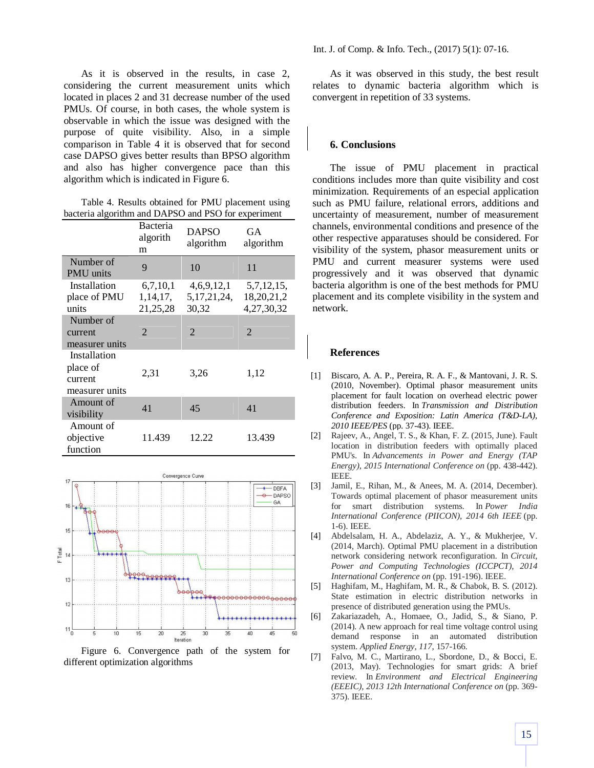As it is observed in the results, in case 2, considering the current measurement units which located in places 2 and 31 decrease number of the used PMUs. Of course, in both cases, the whole system is observable in which the issue was designed with the purpose of quite visibility. Also, in a simple comparison in Table 4 it is observed that for second case DAPSO gives better results than BPSO algorithm and also has higher convergence pace than this algorithm which is indicated in Figure 6.

Table 4. Results obtained for PMU placement using bacteria algorithm and DAPSO and PSO for experiment

|                                                       | Bacteria<br>algorith<br>m          | <b>DAPSO</b><br>algorithm             | GA<br>algorithm                           |
|-------------------------------------------------------|------------------------------------|---------------------------------------|-------------------------------------------|
| Number of<br><b>PMU</b> units                         | 9                                  | 10                                    | 11                                        |
| Installation<br>place of PMU<br>units                 | 6,7,10,1<br>1, 14, 17,<br>21,25,28 | 4,6,9,12,1<br>5, 17, 21, 24,<br>30,32 | 5,7,12,15,<br>18, 20, 21, 2<br>4,27,30,32 |
| Number of<br>current<br>measurer units                | $\overline{2}$                     | $\overline{2}$                        | $\overline{2}$                            |
| Installation<br>place of<br>current<br>measurer units | 2,31                               | 3,26                                  | 1,12                                      |
| Amount of<br>visibility                               | 41                                 | 45                                    | 41                                        |
| Amount of<br>objective<br>function                    | 11.439                             | 12.22                                 | 13.439                                    |



Figure 6. Convergence path of the system for different optimization algorithms

As it was observed in this study, the best result relates to dynamic bacteria algorithm which is convergent in repetition of 33 systems.

### **6. Conclusions**

The issue of PMU placement in practical conditions includes more than quite visibility and cost minimization. Requirements of an especial application such as PMU failure, relational errors, additions and uncertainty of measurement, number of measurement channels, environmental conditions and presence of the other respective apparatuses should be considered. For visibility of the system, phasor measurement units or PMU and current measurer systems were used progressively and it was observed that dynamic bacteria algorithm is one of the best methods for PMU placement and its complete visibility in the system and network.

#### **References**

- [1] Biscaro, A. A. P., Pereira, R. A. F., & Mantovani, J. R. S. (2010, November). Optimal phasor measurement units placement for fault location on overhead electric power distribution feeders. In *Transmission and Distribution Conference and Exposition: Latin America (T&D-LA), 2010 IEEE/PES* (pp. 37-43). IEEE.
- [2] Rajeev, A., Angel, T. S., & Khan, F. Z. (2015, June). Fault location in distribution feeders with optimally placed PMU's. In *Advancements in Power and Energy (TAP Energy), 2015 International Conference on* (pp. 438-442). IEEE.
- [3] Jamil, E., Rihan, M., & Anees, M. A. (2014, December). Towards optimal placement of phasor measurement units for smart distribution systems. In *Power India International Conference (PIICON), 2014 6th IEEE* (pp. 1-6). IEEE.
- [4] Abdelsalam, H. A., Abdelaziz, A. Y., & Mukherjee, V. (2014, March). Optimal PMU placement in a distribution network considering network reconfiguration. In *Circuit, Power and Computing Technologies (ICCPCT), 2014 International Conference on* (pp. 191-196). IEEE.
- [5] Haghifam, M., Haghifam, M. R., & Chabok, B. S. (2012). State estimation in electric distribution networks in presence of distributed generation using the PMUs.
- [6] Zakariazadeh, A., Homaee, O., Jadid, S., & Siano, P. (2014). A new approach for real time voltage control using demand response in an automated distribution system. *Applied Energy*, *117*, 157-166.
- [7] Falvo, M. C., Martirano, L., Sbordone, D., & Bocci, E. (2013, May). Technologies for smart grids: A brief review. In *Environment and Electrical Engineering (EEEIC), 2013 12th International Conference on* (pp. 369- 375). IEEE.